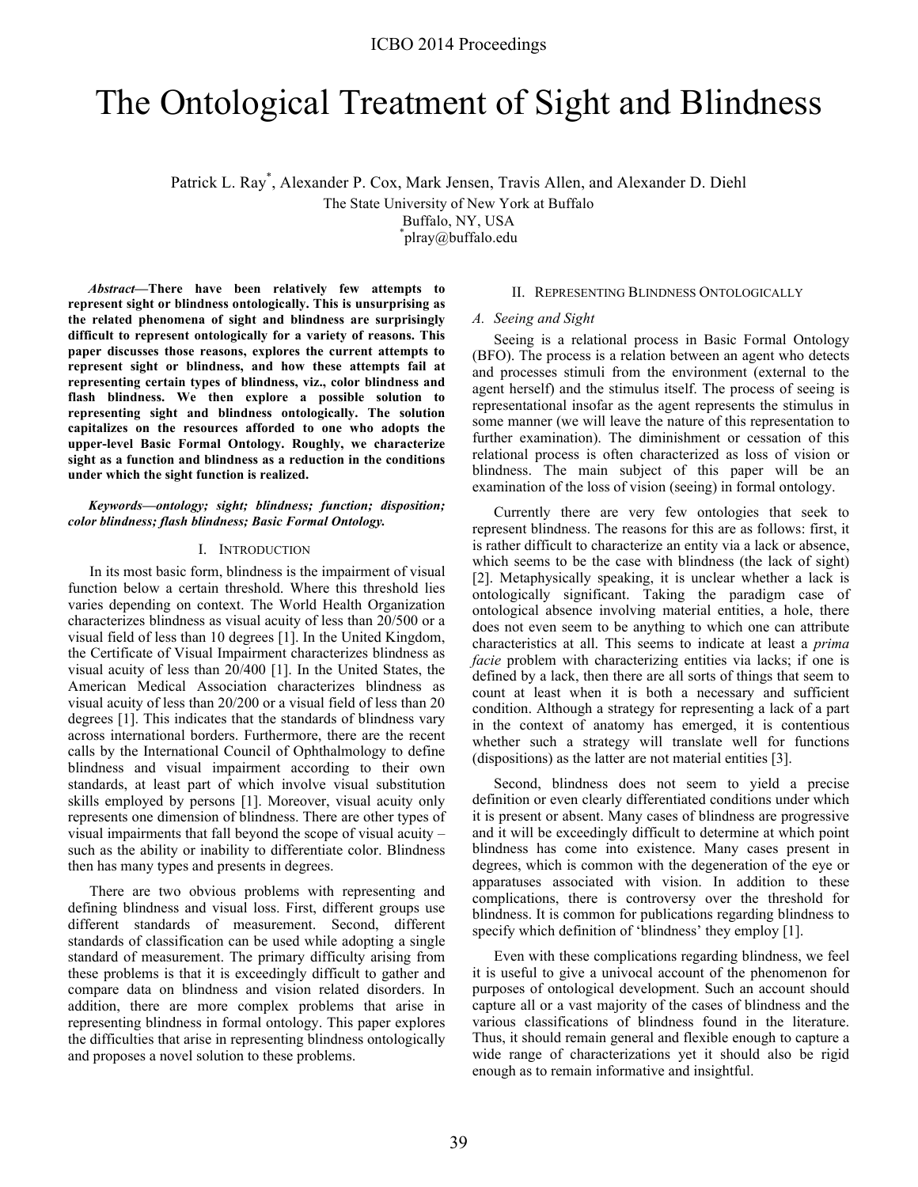# The Ontological Treatment of Sight and Blindness

Patrick L. Ray\* , Alexander P. Cox, Mark Jensen, Travis Allen, and Alexander D. Diehl

The State University of New York at Buffalo

Buffalo, NY, USA

\* plray@buffalo.edu

*Abstract***—There have been relatively few attempts to represent sight or blindness ontologically. This is unsurprising as the related phenomena of sight and blindness are surprisingly difficult to represent ontologically for a variety of reasons. This paper discusses those reasons, explores the current attempts to represent sight or blindness, and how these attempts fail at representing certain types of blindness, viz., color blindness and flash blindness. We then explore a possible solution to representing sight and blindness ontologically. The solution capitalizes on the resources afforded to one who adopts the upper-level Basic Formal Ontology. Roughly, we characterize sight as a function and blindness as a reduction in the conditions under which the sight function is realized.**

#### *Keywords—ontology; sight; blindness; function; disposition; color blindness; flash blindness; Basic Formal Ontology.*

## I. INTRODUCTION

In its most basic form, blindness is the impairment of visual function below a certain threshold. Where this threshold lies varies depending on context. The World Health Organization characterizes blindness as visual acuity of less than 20/500 or a visual field of less than 10 degrees [1]. In the United Kingdom, the Certificate of Visual Impairment characterizes blindness as visual acuity of less than 20/400 [1]. In the United States, the American Medical Association characterizes blindness as visual acuity of less than 20/200 or a visual field of less than 20 degrees [1]. This indicates that the standards of blindness vary across international borders. Furthermore, there are the recent calls by the International Council of Ophthalmology to define blindness and visual impairment according to their own standards, at least part of which involve visual substitution skills employed by persons [1]. Moreover, visual acuity only represents one dimension of blindness. There are other types of visual impairments that fall beyond the scope of visual acuity – such as the ability or inability to differentiate color. Blindness then has many types and presents in degrees.

There are two obvious problems with representing and defining blindness and visual loss. First, different groups use different standards of measurement. Second, different standards of classification can be used while adopting a single standard of measurement. The primary difficulty arising from these problems is that it is exceedingly difficult to gather and compare data on blindness and vision related disorders. In addition, there are more complex problems that arise in representing blindness in formal ontology. This paper explores the difficulties that arise in representing blindness ontologically and proposes a novel solution to these problems.

### II. REPRESENTING BLINDNESS ONTOLOGICALLY

#### *A. Seeing and Sight*

Seeing is a relational process in Basic Formal Ontology (BFO). The process is a relation between an agent who detects and processes stimuli from the environment (external to the agent herself) and the stimulus itself. The process of seeing is representational insofar as the agent represents the stimulus in some manner (we will leave the nature of this representation to further examination). The diminishment or cessation of this relational process is often characterized as loss of vision or blindness. The main subject of this paper will be an examination of the loss of vision (seeing) in formal ontology.

Currently there are very few ontologies that seek to represent blindness. The reasons for this are as follows: first, it is rather difficult to characterize an entity via a lack or absence, which seems to be the case with blindness (the lack of sight) [2]. Metaphysically speaking, it is unclear whether a lack is ontologically significant. Taking the paradigm case of ontological absence involving material entities, a hole, there does not even seem to be anything to which one can attribute characteristics at all. This seems to indicate at least a *prima facie* problem with characterizing entities via lacks; if one is defined by a lack, then there are all sorts of things that seem to count at least when it is both a necessary and sufficient condition. Although a strategy for representing a lack of a part in the context of anatomy has emerged, it is contentious whether such a strategy will translate well for functions (dispositions) as the latter are not material entities [3].

Second, blindness does not seem to yield a precise definition or even clearly differentiated conditions under which it is present or absent. Many cases of blindness are progressive and it will be exceedingly difficult to determine at which point blindness has come into existence. Many cases present in degrees, which is common with the degeneration of the eye or apparatuses associated with vision. In addition to these complications, there is controversy over the threshold for blindness. It is common for publications regarding blindness to specify which definition of 'blindness' they employ [1].

Even with these complications regarding blindness, we feel it is useful to give a univocal account of the phenomenon for purposes of ontological development. Such an account should capture all or a vast majority of the cases of blindness and the various classifications of blindness found in the literature. Thus, it should remain general and flexible enough to capture a wide range of characterizations yet it should also be rigid enough as to remain informative and insightful.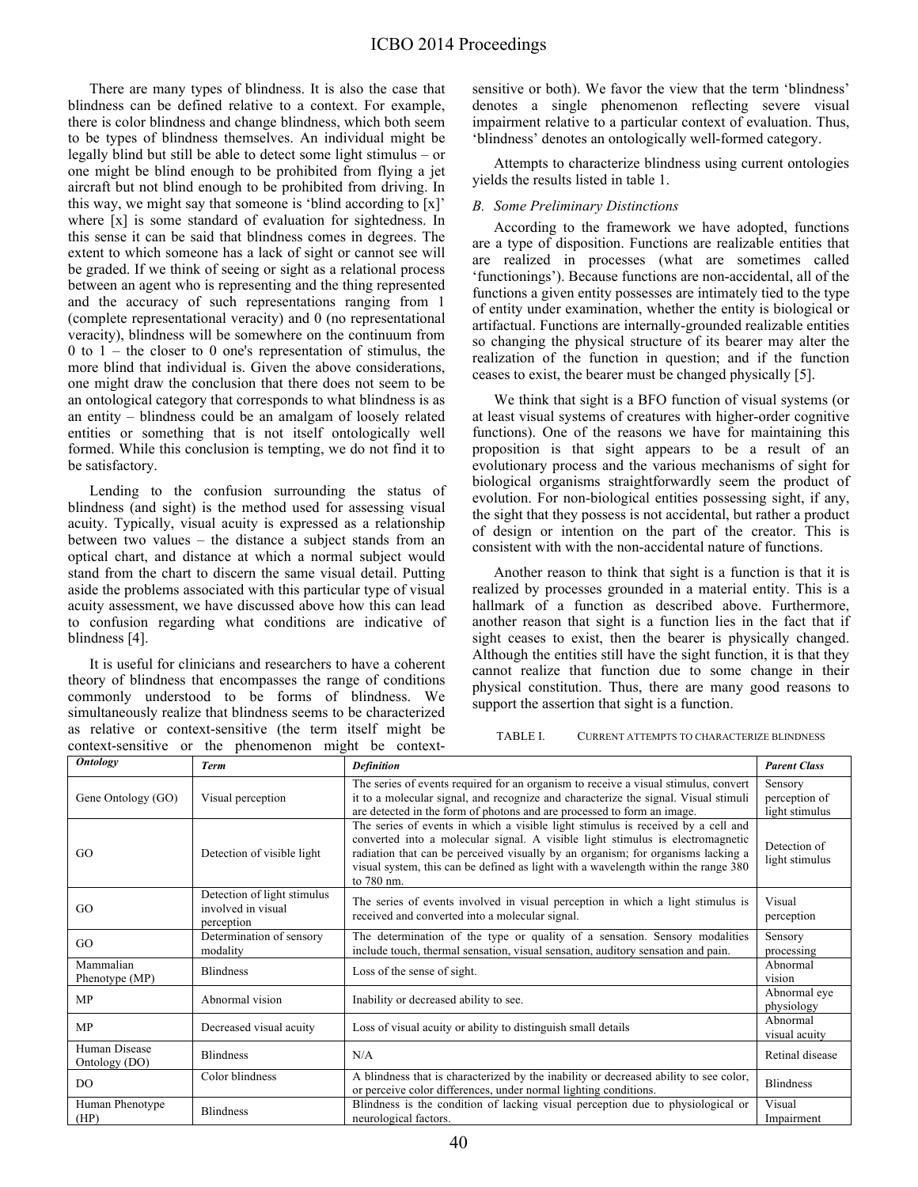There are many types of blindness. It is also the case that blindness can be defined relative to a context. For example, there is color blindness and change blindness, which both seem to be types of blindness themselves. An individual might be legally blind but still be able to detect some light stimulus – or one might be blind enough to be prohibited from flying a jet aircraft but not blind enough to be prohibited from driving. In this way, we might say that someone is 'blind according to [x]' where [x] is some standard of evaluation for sightedness. In this sense it can be said that blindness comes in degrees. The extent to which someone has a lack of sight or cannot see will be graded. If we think of seeing or sight as a relational process between an agent who is representing and the thing represented and the accuracy of such representations ranging from 1 (complete representational veracity) and 0 (no representational veracity), blindness will be somewhere on the continuum from 0 to  $1$  – the closer to 0 one's representation of stimulus, the more blind that individual is. Given the above considerations, one might draw the conclusion that there does not seem to be an ontological category that corresponds to what blindness is as an entity – blindness could be an amalgam of loosely related entities or something that is not itself ontologically well formed. While this conclusion is tempting, we do not find it to be satisfactory.

Lending to the confusion surrounding the status of blindness (and sight) is the method used for assessing visual acuity. Typically, visual acuity is expressed as a relationship between two values – the distance a subject stands from an optical chart, and distance at which a normal subject would stand from the chart to discern the same visual detail. Putting aside the problems associated with this particular type of visual acuity assessment, we have discussed above how this can lead to confusion regarding what conditions are indicative of blindness [4].

It is useful for clinicians and researchers to have a coherent theory of blindness that encompasses the range of conditions commonly understood to be forms of blindness. We simultaneously realize that blindness seems to be characterized as relative or context-sensitive (the term itself might be context-sensitive or the phenomenon might be contextsensitive or both). We favor the view that the term 'blindness' denotes a single phenomenon reflecting severe visual impairment relative to a particular context of evaluation. Thus, 'blindness' denotes an ontologically well-formed category.

Attempts to characterize blindness using current ontologies yields the results listed in table 1.

## *B. Some Preliminary Distinctions*

According to the framework we have adopted, functions are a type of disposition. Functions are realizable entities that are realized in processes (what are sometimes called 'functionings'). Because functions are non-accidental, all of the functions a given entity possesses are intimately tied to the type of entity under examination, whether the entity is biological or artifactual. Functions are internally-grounded realizable entities so changing the physical structure of its bearer may alter the realization of the function in question; and if the function ceases to exist, the bearer must be changed physically [5].

We think that sight is a BFO function of visual systems (or at least visual systems of creatures with higher-order cognitive functions). One of the reasons we have for maintaining this proposition is that sight appears to be a result of an evolutionary process and the various mechanisms of sight for biological organisms straightforwardly seem the product of evolution. For non-biological entities possessing sight, if any, the sight that they possess is not accidental, but rather a product of design or intention on the part of the creator. This is consistent with with the non-accidental nature of functions.

Another reason to think that sight is a function is that it is realized by processes grounded in a material entity. This is a hallmark of a function as described above. Furthermore, another reason that sight is a function lies in the fact that if sight ceases to exist, then the bearer is physically changed. Although the entities still have the sight function, it is that they cannot realize that function due to some change in their physical constitution. Thus, there are many good reasons to support the assertion that sight is a function.

TABLE I. CURRENT ATTEMPTS TO CHARACTERIZE BLINDNESS

| <b>Ontology</b>                | <b>Term</b>                                                     | <b>Definition</b>                                                                                                                                                                                                                                                                                                                                          | <b>Parent Class</b>                        |
|--------------------------------|-----------------------------------------------------------------|------------------------------------------------------------------------------------------------------------------------------------------------------------------------------------------------------------------------------------------------------------------------------------------------------------------------------------------------------------|--------------------------------------------|
| Gene Ontology (GO)             | Visual perception                                               | The series of events required for an organism to receive a visual stimulus, convert<br>it to a molecular signal, and recognize and characterize the signal. Visual stimuli<br>are detected in the form of photons and are processed to form an image.                                                                                                      | Sensory<br>perception of<br>light stimulus |
| GO.                            | Detection of visible light                                      | The series of events in which a visible light stimulus is received by a cell and<br>converted into a molecular signal. A visible light stimulus is electromagnetic<br>radiation that can be perceived visually by an organism; for organisms lacking a<br>visual system, this can be defined as light with a wavelength within the range 380<br>to 780 nm. | Detection of<br>light stimulus             |
| GO.                            | Detection of light stimulus<br>involved in visual<br>perception | The series of events involved in visual perception in which a light stimulus is<br>received and converted into a molecular signal.                                                                                                                                                                                                                         | Visual<br>perception                       |
| GO                             | Determination of sensory<br>modality                            | The determination of the type or quality of a sensation. Sensory modalities<br>include touch, thermal sensation, visual sensation, auditory sensation and pain.                                                                                                                                                                                            | Sensory<br>processing                      |
| Mammalian<br>Phenotype (MP)    | <b>Blindness</b>                                                | Loss of the sense of sight.                                                                                                                                                                                                                                                                                                                                | Abnormal<br>vision                         |
| <b>MP</b>                      | Abnormal vision                                                 | Inability or decreased ability to see.                                                                                                                                                                                                                                                                                                                     | Abnormal eve<br>physiology                 |
| <b>MP</b>                      | Decreased visual acuity                                         | Loss of visual acuity or ability to distinguish small details                                                                                                                                                                                                                                                                                              | Abnormal<br>visual acuity                  |
| Human Disease<br>Ontology (DO) | <b>Blindness</b>                                                | N/A                                                                                                                                                                                                                                                                                                                                                        | Retinal disease                            |
| D <sub>O</sub>                 | Color blindness                                                 | A blindness that is characterized by the inability or decreased ability to see color,<br>or perceive color differences, under normal lighting conditions.                                                                                                                                                                                                  | <b>Blindness</b>                           |
| Human Phenotype<br>(HP)        | <b>Blindness</b>                                                | Blindness is the condition of lacking visual perception due to physiological or<br>neurological factors.                                                                                                                                                                                                                                                   | Visual<br>Impairment                       |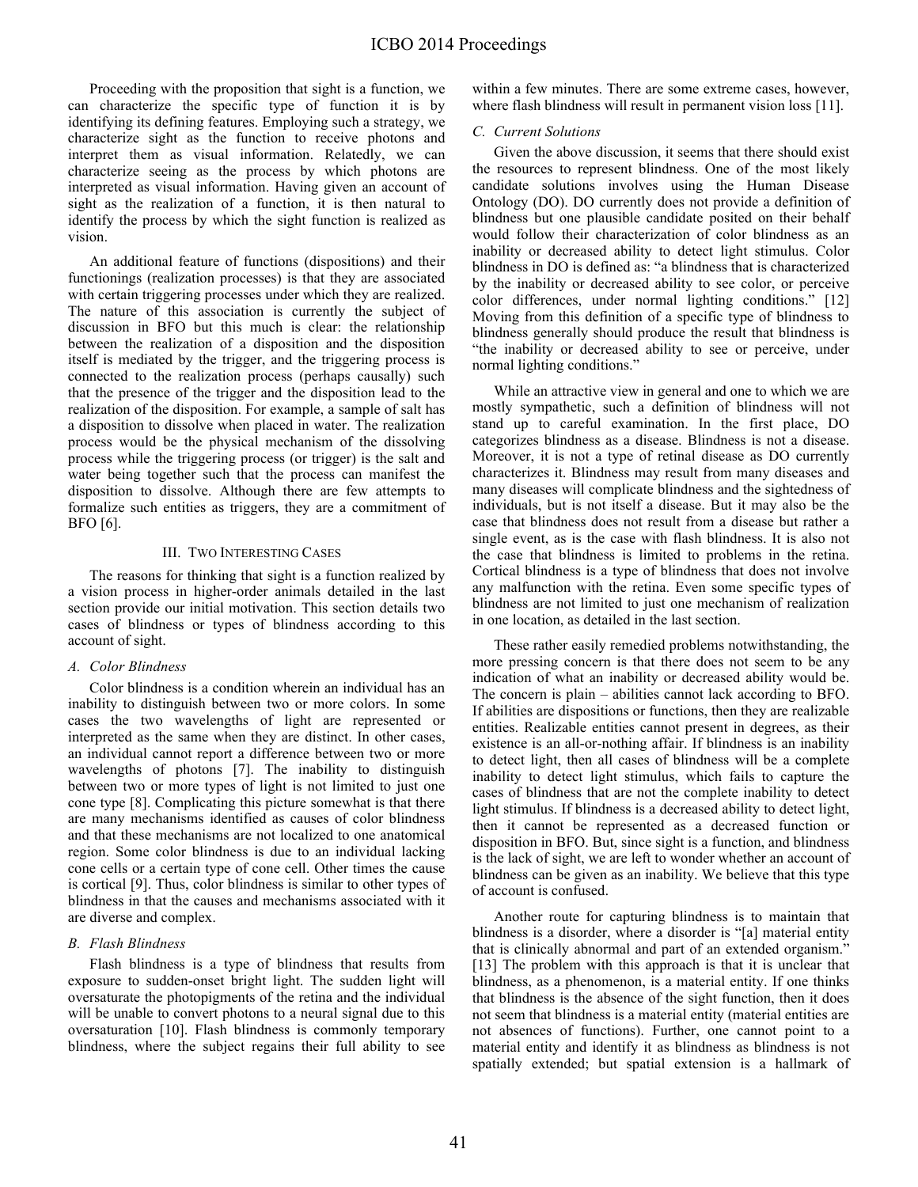# ICBO 2014 Proceedings

Proceeding with the proposition that sight is a function, we can characterize the specific type of function it is by identifying its defining features. Employing such a strategy, we characterize sight as the function to receive photons and interpret them as visual information. Relatedly, we can characterize seeing as the process by which photons are interpreted as visual information. Having given an account of sight as the realization of a function, it is then natural to identify the process by which the sight function is realized as vision.

An additional feature of functions (dispositions) and their functionings (realization processes) is that they are associated with certain triggering processes under which they are realized. The nature of this association is currently the subject of discussion in BFO but this much is clear: the relationship between the realization of a disposition and the disposition itself is mediated by the trigger, and the triggering process is connected to the realization process (perhaps causally) such that the presence of the trigger and the disposition lead to the realization of the disposition. For example, a sample of salt has a disposition to dissolve when placed in water. The realization process would be the physical mechanism of the dissolving process while the triggering process (or trigger) is the salt and water being together such that the process can manifest the disposition to dissolve. Although there are few attempts to formalize such entities as triggers, they are a commitment of BFO [6].

#### III. TWO INTERESTING CASES

The reasons for thinking that sight is a function realized by a vision process in higher-order animals detailed in the last section provide our initial motivation. This section details two cases of blindness or types of blindness according to this account of sight.

#### *A. Color Blindness*

Color blindness is a condition wherein an individual has an inability to distinguish between two or more colors. In some cases the two wavelengths of light are represented or interpreted as the same when they are distinct. In other cases, an individual cannot report a difference between two or more wavelengths of photons [7]. The inability to distinguish between two or more types of light is not limited to just one cone type [8]. Complicating this picture somewhat is that there are many mechanisms identified as causes of color blindness and that these mechanisms are not localized to one anatomical region. Some color blindness is due to an individual lacking cone cells or a certain type of cone cell. Other times the cause is cortical [9]. Thus, color blindness is similar to other types of blindness in that the causes and mechanisms associated with it are diverse and complex.

#### *B. Flash Blindness*

Flash blindness is a type of blindness that results from exposure to sudden-onset bright light. The sudden light will oversaturate the photopigments of the retina and the individual will be unable to convert photons to a neural signal due to this oversaturation [10]. Flash blindness is commonly temporary blindness, where the subject regains their full ability to see within a few minutes. There are some extreme cases, however, where flash blindness will result in permanent vision loss [11].

### *C. Current Solutions*

Given the above discussion, it seems that there should exist the resources to represent blindness. One of the most likely candidate solutions involves using the Human Disease Ontology (DO). DO currently does not provide a definition of blindness but one plausible candidate posited on their behalf would follow their characterization of color blindness as an inability or decreased ability to detect light stimulus. Color blindness in DO is defined as: "a blindness that is characterized by the inability or decreased ability to see color, or perceive color differences, under normal lighting conditions." [12] Moving from this definition of a specific type of blindness to blindness generally should produce the result that blindness is "the inability or decreased ability to see or perceive, under normal lighting conditions."

While an attractive view in general and one to which we are mostly sympathetic, such a definition of blindness will not stand up to careful examination. In the first place, DO categorizes blindness as a disease. Blindness is not a disease. Moreover, it is not a type of retinal disease as DO currently characterizes it. Blindness may result from many diseases and many diseases will complicate blindness and the sightedness of individuals, but is not itself a disease. But it may also be the case that blindness does not result from a disease but rather a single event, as is the case with flash blindness. It is also not the case that blindness is limited to problems in the retina. Cortical blindness is a type of blindness that does not involve any malfunction with the retina. Even some specific types of blindness are not limited to just one mechanism of realization in one location, as detailed in the last section.

These rather easily remedied problems notwithstanding, the more pressing concern is that there does not seem to be any indication of what an inability or decreased ability would be. The concern is plain – abilities cannot lack according to BFO. If abilities are dispositions or functions, then they are realizable entities. Realizable entities cannot present in degrees, as their existence is an all-or-nothing affair. If blindness is an inability to detect light, then all cases of blindness will be a complete inability to detect light stimulus, which fails to capture the cases of blindness that are not the complete inability to detect light stimulus. If blindness is a decreased ability to detect light, then it cannot be represented as a decreased function or disposition in BFO. But, since sight is a function, and blindness is the lack of sight, we are left to wonder whether an account of blindness can be given as an inability. We believe that this type of account is confused.

Another route for capturing blindness is to maintain that blindness is a disorder, where a disorder is "[a] material entity that is clinically abnormal and part of an extended organism." [13] The problem with this approach is that it is unclear that blindness, as a phenomenon, is a material entity. If one thinks that blindness is the absence of the sight function, then it does not seem that blindness is a material entity (material entities are not absences of functions). Further, one cannot point to a material entity and identify it as blindness as blindness is not spatially extended; but spatial extension is a hallmark of